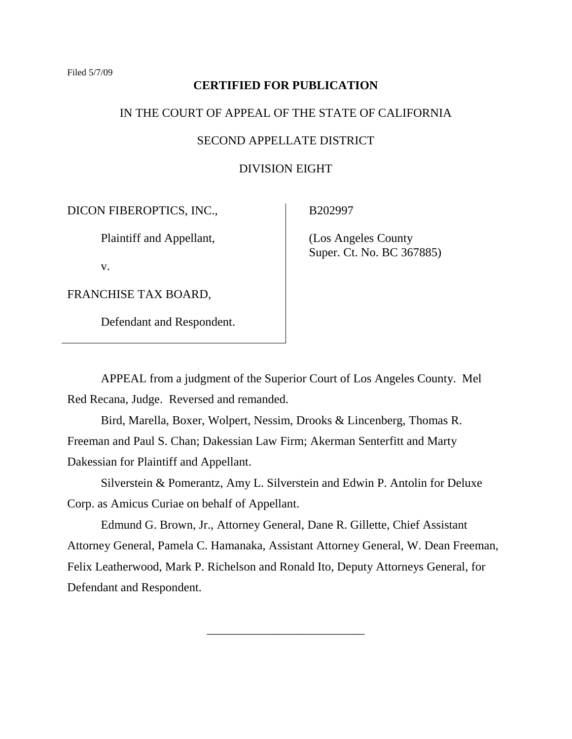## **CERTIFIED FOR PUBLICATION**

## IN THE COURT OF APPEAL OF THE STATE OF CALIFORNIA

# SECOND APPELLATE DISTRICT

# DIVISION EIGHT

DICON FIBEROPTICS, INC.,

Plaintiff and Appellant,

v.

FRANCHISE TAX BOARD,

Defendant and Respondent.

B202997

 (Los Angeles County Super. Ct. No. BC 367885)

APPEAL from a judgment of the Superior Court of Los Angeles County. Mel Red Recana, Judge. Reversed and remanded.

Bird, Marella, Boxer, Wolpert, Nessim, Drooks & Lincenberg, Thomas R. Freeman and Paul S. Chan; Dakessian Law Firm; Akerman Senterfitt and Marty Dakessian for Plaintiff and Appellant.

Silverstein & Pomerantz, Amy L. Silverstein and Edwin P. Antolin for Deluxe Corp. as Amicus Curiae on behalf of Appellant.

Edmund G. Brown, Jr., Attorney General, Dane R. Gillette, Chief Assistant Attorney General, Pamela C. Hamanaka, Assistant Attorney General, W. Dean Freeman, Felix Leatherwood, Mark P. Richelson and Ronald Ito, Deputy Attorneys General, for Defendant and Respondent.

\_\_\_\_\_\_\_\_\_\_\_\_\_\_\_\_\_\_\_\_\_\_\_\_\_\_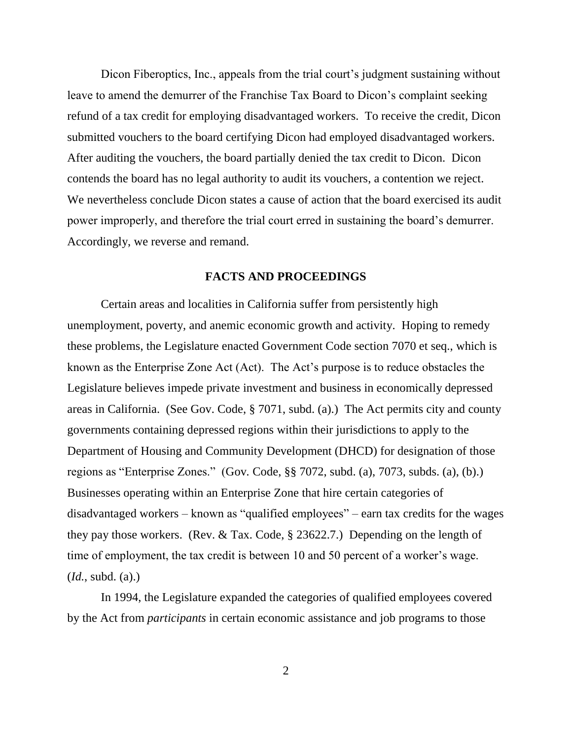Dicon Fiberoptics, Inc., appeals from the trial court's judgment sustaining without leave to amend the demurrer of the Franchise Tax Board to Dicon's complaint seeking refund of a tax credit for employing disadvantaged workers. To receive the credit, Dicon submitted vouchers to the board certifying Dicon had employed disadvantaged workers. After auditing the vouchers, the board partially denied the tax credit to Dicon. Dicon contends the board has no legal authority to audit its vouchers, a contention we reject. We nevertheless conclude Dicon states a cause of action that the board exercised its audit power improperly, and therefore the trial court erred in sustaining the board"s demurrer. Accordingly, we reverse and remand.

## **FACTS AND PROCEEDINGS**

Certain areas and localities in California suffer from persistently high unemployment, poverty, and anemic economic growth and activity. Hoping to remedy these problems, the Legislature enacted Government Code section 7070 et seq., which is known as the Enterprise Zone Act (Act). The Act"s purpose is to reduce obstacles the Legislature believes impede private investment and business in economically depressed areas in California. (See Gov. Code, § 7071, subd. (a).) The Act permits city and county governments containing depressed regions within their jurisdictions to apply to the Department of Housing and Community Development (DHCD) for designation of those regions as "Enterprise Zones." (Gov*.* Code, §§ 7072, subd. (a), 7073, subds. (a), (b).) Businesses operating within an Enterprise Zone that hire certain categories of disadvantaged workers – known as "qualified employees" – earn tax credits for the wages they pay those workers. (Rev. & Tax. Code, § 23622.7.) Depending on the length of time of employment, the tax credit is between 10 and 50 percent of a worker's wage. (*Id.*, subd. (a).)

In 1994, the Legislature expanded the categories of qualified employees covered by the Act from *participants* in certain economic assistance and job programs to those

2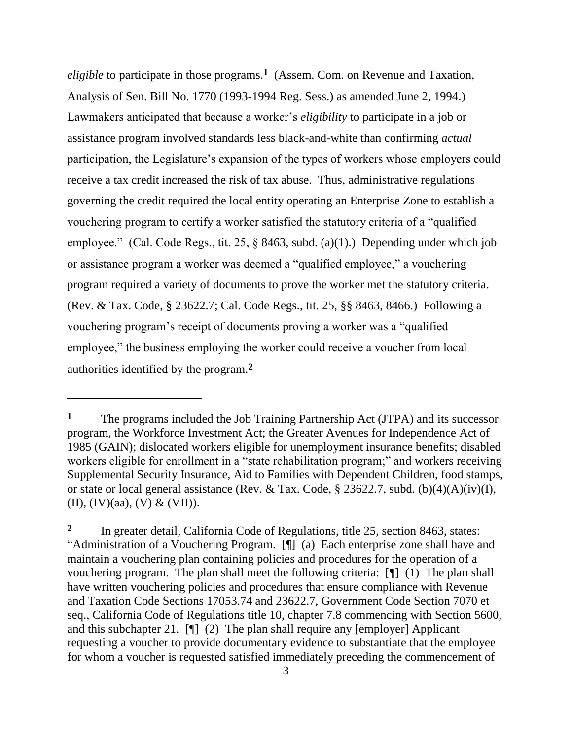*eligible* to participate in those programs.**<sup>1</sup>** (Assem. Com. on Revenue and Taxation, Analysis of Sen. Bill No. 1770 (1993-1994 Reg. Sess.) as amended June 2, 1994.) Lawmakers anticipated that because a worker's *eligibility* to participate in a job or assistance program involved standards less black-and-white than confirming *actual* participation, the Legislature"s expansion of the types of workers whose employers could receive a tax credit increased the risk of tax abuse. Thus, administrative regulations governing the credit required the local entity operating an Enterprise Zone to establish a vouchering program to certify a worker satisfied the statutory criteria of a "qualified employee." (Cal. Code Regs., tit. 25, § 8463, subd. (a)(1).) Depending under which job or assistance program a worker was deemed a "qualified employee," a vouchering program required a variety of documents to prove the worker met the statutory criteria. (Rev. & Tax. Code, § 23622.7; Cal. Code Regs., tit. 25, §§ 8463, 8466.) Following a vouchering program"s receipt of documents proving a worker was a "qualified employee," the business employing the worker could receive a voucher from local authorities identified by the program.**<sup>2</sup>**

**<sup>1</sup>** The programs included the Job Training Partnership Act (JTPA) and its successor program, the Workforce Investment Act; the Greater Avenues for Independence Act of 1985 (GAIN); dislocated workers eligible for unemployment insurance benefits; disabled workers eligible for enrollment in a "state rehabilitation program;" and workers receiving Supplemental Security Insurance, Aid to Families with Dependent Children, food stamps, or state or local general assistance (Rev. & Tax. Code, § 23622.7, subd. (b)(4)(A)(iv)(I), (II),  $(IV)(aa)$ ,  $(V) & (VII)$ ).

**<sup>2</sup>** In greater detail, California Code of Regulations, title 25, section 8463, states: "Administration of a Vouchering Program. [¶] (a) Each enterprise zone shall have and maintain a vouchering plan containing policies and procedures for the operation of a vouchering program. The plan shall meet the following criteria: [¶] (1) The plan shall have written vouchering policies and procedures that ensure compliance with Revenue and Taxation Code Sections 17053.74 and 23622.7, Government Code Section 7070 et seq., California Code of Regulations title 10, chapter 7.8 commencing with Section 5600, and this subchapter 21. [¶] (2) The plan shall require any [employer] Applicant requesting a voucher to provide documentary evidence to substantiate that the employee for whom a voucher is requested satisfied immediately preceding the commencement of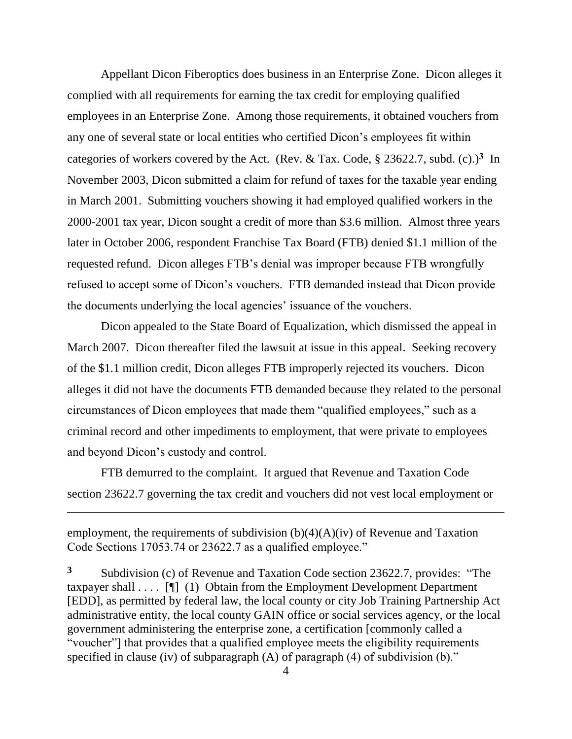Appellant Dicon Fiberoptics does business in an Enterprise Zone. Dicon alleges it complied with all requirements for earning the tax credit for employing qualified employees in an Enterprise Zone. Among those requirements, it obtained vouchers from any one of several state or local entities who certified Dicon"s employees fit within categories of workers covered by the Act. (Rev. & Tax. Code, § 23622.7, subd. (c).)**<sup>3</sup>** In November 2003, Dicon submitted a claim for refund of taxes for the taxable year ending in March 2001. Submitting vouchers showing it had employed qualified workers in the 2000-2001 tax year, Dicon sought a credit of more than \$3.6 million. Almost three years later in October 2006, respondent Franchise Tax Board (FTB) denied \$1.1 million of the requested refund. Dicon alleges FTB"s denial was improper because FTB wrongfully refused to accept some of Dicon"s vouchers. FTB demanded instead that Dicon provide the documents underlying the local agencies' issuance of the vouchers.

Dicon appealed to the State Board of Equalization, which dismissed the appeal in March 2007. Dicon thereafter filed the lawsuit at issue in this appeal. Seeking recovery of the \$1.1 million credit, Dicon alleges FTB improperly rejected its vouchers. Dicon alleges it did not have the documents FTB demanded because they related to the personal circumstances of Dicon employees that made them "qualified employees," such as a criminal record and other impediments to employment, that were private to employees and beyond Dicon"s custody and control.

FTB demurred to the complaint. It argued that Revenue and Taxation Code section 23622.7 governing the tax credit and vouchers did not vest local employment or

employment, the requirements of subdivision (b)(4)(A)(iv) of Revenue and Taxation Code Sections 17053.74 or 23622.7 as a qualified employee."

 $\overline{a}$ 

**3** Subdivision (c) of Revenue and Taxation Code section 23622.7, provides: "The taxpayer shall  $\dots$  [ $\blacksquare$  (1) Obtain from the Employment Development Department [EDD], as permitted by federal law, the local county or city Job Training Partnership Act administrative entity, the local county GAIN office or social services agency, or the local government administering the enterprise zone, a certification [commonly called a "voucher"] that provides that a qualified employee meets the eligibility requirements specified in clause (iv) of subparagraph (A) of paragraph (4) of subdivision (b)."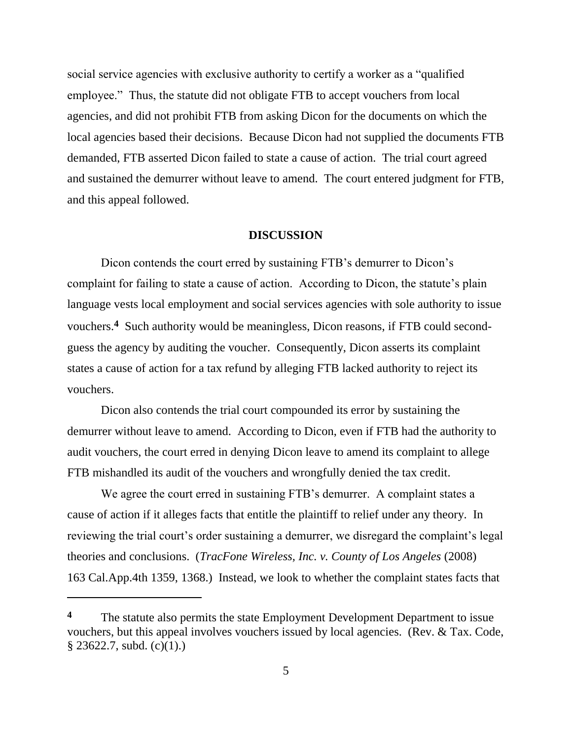social service agencies with exclusive authority to certify a worker as a "qualified employee." Thus, the statute did not obligate FTB to accept vouchers from local agencies, and did not prohibit FTB from asking Dicon for the documents on which the local agencies based their decisions. Because Dicon had not supplied the documents FTB demanded, FTB asserted Dicon failed to state a cause of action. The trial court agreed and sustained the demurrer without leave to amend. The court entered judgment for FTB, and this appeal followed.

#### **DISCUSSION**

Dicon contends the court erred by sustaining FTB's demurrer to Dicon's complaint for failing to state a cause of action. According to Dicon, the statute"s plain language vests local employment and social services agencies with sole authority to issue vouchers.<sup>4</sup> Such authority would be meaningless, Dicon reasons, if FTB could secondguess the agency by auditing the voucher. Consequently, Dicon asserts its complaint states a cause of action for a tax refund by alleging FTB lacked authority to reject its vouchers.

Dicon also contends the trial court compounded its error by sustaining the demurrer without leave to amend. According to Dicon, even if FTB had the authority to audit vouchers, the court erred in denying Dicon leave to amend its complaint to allege FTB mishandled its audit of the vouchers and wrongfully denied the tax credit.

We agree the court erred in sustaining FTB's demurrer. A complaint states a cause of action if it alleges facts that entitle the plaintiff to relief under any theory. In reviewing the trial court's order sustaining a demurrer, we disregard the complaint's legal theories and conclusions. (*TracFone Wireless, Inc. v. County of Los Angeles* (2008) 163 Cal.App.4th 1359, 1368.) Instead, we look to whether the complaint states facts that

**<sup>4</sup>** The statute also permits the state Employment Development Department to issue vouchers, but this appeal involves vouchers issued by local agencies. (Rev. & Tax. Code,  $§$  23622.7, subd. (c)(1).)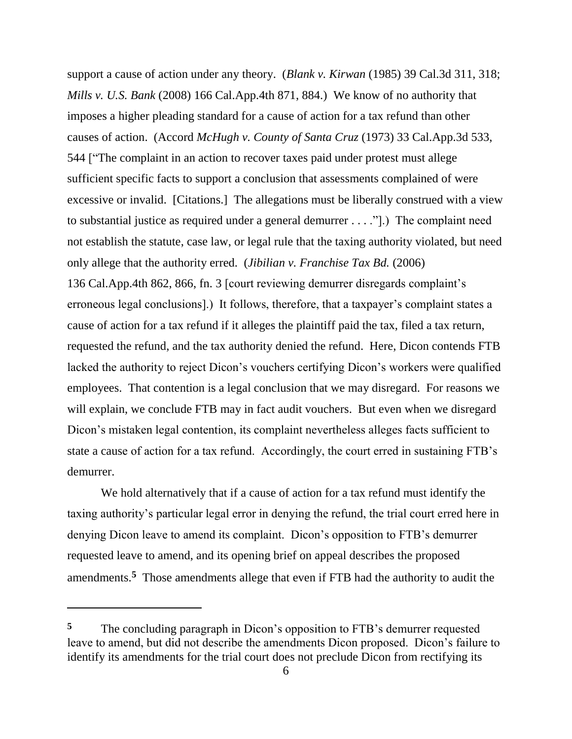support a cause of action under any theory. (*Blank v. Kirwan* (1985) 39 Cal.3d 311, 318; *Mills v. U.S. Bank* (2008) 166 Cal.App.4th 871, 884.) We know of no authority that imposes a higher pleading standard for a cause of action for a tax refund than other causes of action. (Accord *McHugh v. County of Santa Cruz* (1973) 33 Cal.App.3d 533, 544 ["The complaint in an action to recover taxes paid under protest must allege sufficient specific facts to support a conclusion that assessments complained of were excessive or invalid. [Citations.] The allegations must be liberally construed with a view to substantial justice as required under a general demurrer . . . ."].) The complaint need not establish the statute, case law, or legal rule that the taxing authority violated, but need only allege that the authority erred. (*Jibilian v. Franchise Tax Bd.* (2006) 136 Cal.App.4th 862, 866, fn. 3 [court reviewing demurrer disregards complaint"s erroneous legal conclusions].) It follows, therefore, that a taxpayer's complaint states a cause of action for a tax refund if it alleges the plaintiff paid the tax, filed a tax return, requested the refund, and the tax authority denied the refund. Here, Dicon contends FTB lacked the authority to reject Dicon's vouchers certifying Dicon's workers were qualified employees. That contention is a legal conclusion that we may disregard. For reasons we will explain, we conclude FTB may in fact audit vouchers. But even when we disregard Dicon's mistaken legal contention, its complaint nevertheless alleges facts sufficient to state a cause of action for a tax refund. Accordingly, the court erred in sustaining FTB"s demurrer.

We hold alternatively that if a cause of action for a tax refund must identify the taxing authority"s particular legal error in denying the refund, the trial court erred here in denying Dicon leave to amend its complaint. Dicon"s opposition to FTB"s demurrer requested leave to amend, and its opening brief on appeal describes the proposed amendments.**<sup>5</sup>** Those amendments allege that even if FTB had the authority to audit the

<sup>&</sup>lt;sup>5</sup> The concluding paragraph in Dicon's opposition to FTB's demurrer requested leave to amend, but did not describe the amendments Dicon proposed. Dicon"s failure to identify its amendments for the trial court does not preclude Dicon from rectifying its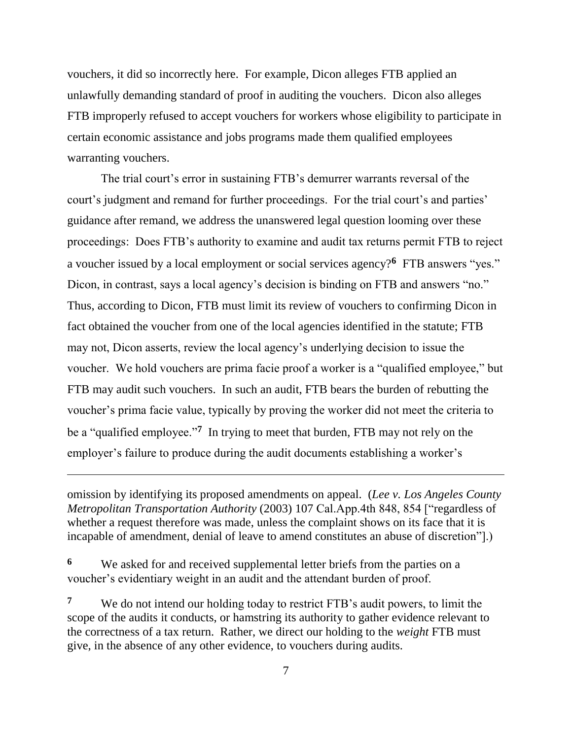vouchers, it did so incorrectly here. For example, Dicon alleges FTB applied an unlawfully demanding standard of proof in auditing the vouchers. Dicon also alleges FTB improperly refused to accept vouchers for workers whose eligibility to participate in certain economic assistance and jobs programs made them qualified employees warranting vouchers.

The trial court's error in sustaining FTB's demurrer warrants reversal of the court's judgment and remand for further proceedings. For the trial court's and parties' guidance after remand, we address the unanswered legal question looming over these proceedings: Does FTB"s authority to examine and audit tax returns permit FTB to reject a voucher issued by a local employment or social services agency?**<sup>6</sup>** FTB answers "yes." Dicon, in contrast, says a local agency's decision is binding on FTB and answers "no." Thus, according to Dicon, FTB must limit its review of vouchers to confirming Dicon in fact obtained the voucher from one of the local agencies identified in the statute; FTB may not, Dicon asserts, review the local agency"s underlying decision to issue the voucher. We hold vouchers are prima facie proof a worker is a "qualified employee," but FTB may audit such vouchers. In such an audit, FTB bears the burden of rebutting the voucher"s prima facie value, typically by proving the worker did not meet the criteria to be a "qualified employee."**<sup>7</sup>** In trying to meet that burden, FTB may not rely on the employer's failure to produce during the audit documents establishing a worker's

omission by identifying its proposed amendments on appeal. (*Lee v. Los Angeles County Metropolitan Transportation Authority* (2003) 107 Cal.App.4th 848, 854 ["regardless of whether a request therefore was made, unless the complaint shows on its face that it is incapable of amendment, denial of leave to amend constitutes an abuse of discretion"].)

**6** We asked for and received supplemental letter briefs from the parties on a voucher"s evidentiary weight in an audit and the attendant burden of proof.

 $\overline{a}$ 

**7** We do not intend our holding today to restrict FTB's audit powers, to limit the scope of the audits it conducts, or hamstring its authority to gather evidence relevant to the correctness of a tax return. Rather, we direct our holding to the *weight* FTB must give, in the absence of any other evidence, to vouchers during audits.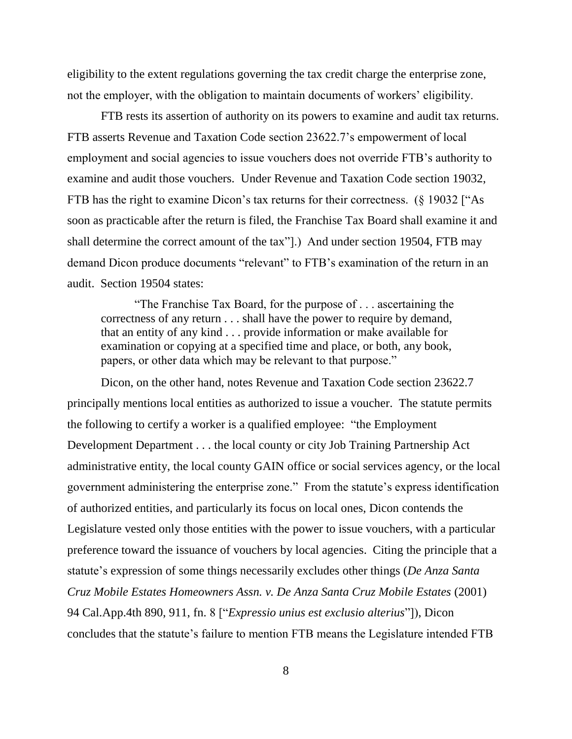eligibility to the extent regulations governing the tax credit charge the enterprise zone, not the employer, with the obligation to maintain documents of workers' eligibility.

FTB rests its assertion of authority on its powers to examine and audit tax returns. FTB asserts Revenue and Taxation Code section 23622.7"s empowerment of local employment and social agencies to issue vouchers does not override FTB"s authority to examine and audit those vouchers. Under Revenue and Taxation Code section 19032, FTB has the right to examine Dicon's tax returns for their correctness. (§ 19032 ["As soon as practicable after the return is filed, the Franchise Tax Board shall examine it and shall determine the correct amount of the tax"].) And under section 19504, FTB may demand Dicon produce documents "relevant" to FTB"s examination of the return in an audit. Section 19504 states:

"The Franchise Tax Board, for the purpose of . . . ascertaining the correctness of any return . . . shall have the power to require by demand, that an entity of any kind . . . provide information or make available for examination or copying at a specified time and place, or both, any book, papers, or other data which may be relevant to that purpose."

Dicon, on the other hand, notes Revenue and Taxation Code section 23622.7 principally mentions local entities as authorized to issue a voucher. The statute permits the following to certify a worker is a qualified employee: "the Employment Development Department . . . the local county or city Job Training Partnership Act administrative entity, the local county GAIN office or social services agency, or the local government administering the enterprise zone." From the statute's express identification of authorized entities, and particularly its focus on local ones, Dicon contends the Legislature vested only those entities with the power to issue vouchers, with a particular preference toward the issuance of vouchers by local agencies. Citing the principle that a statute's expression of some things necessarily excludes other things (*De Anza Santa*) *Cruz Mobile Estates Homeowners Assn. v. De Anza Santa Cruz Mobile Estates* (2001) 94 Cal.App.4th 890, 911, fn. 8 ["*Expressio unius est exclusio alterius*"]), Dicon concludes that the statute"s failure to mention FTB means the Legislature intended FTB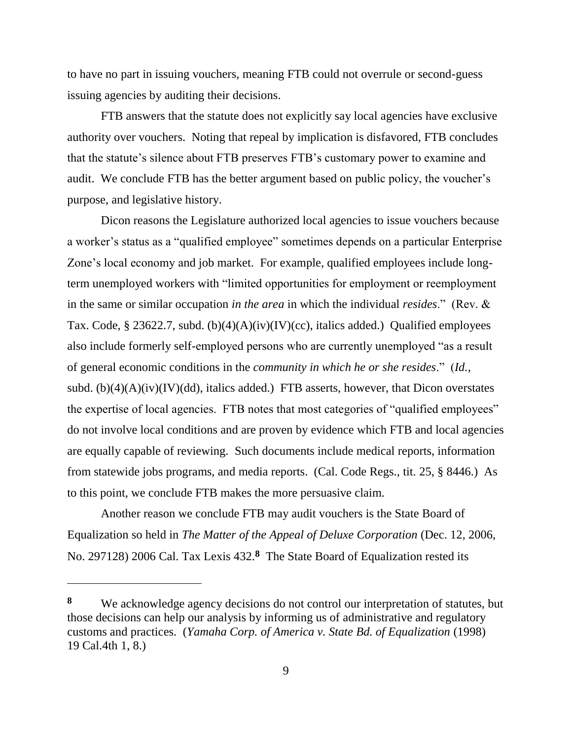to have no part in issuing vouchers, meaning FTB could not overrule or second-guess issuing agencies by auditing their decisions.

FTB answers that the statute does not explicitly say local agencies have exclusive authority over vouchers. Noting that repeal by implication is disfavored, FTB concludes that the statute"s silence about FTB preserves FTB"s customary power to examine and audit. We conclude FTB has the better argument based on public policy, the voucher's purpose, and legislative history.

Dicon reasons the Legislature authorized local agencies to issue vouchers because a worker"s status as a "qualified employee" sometimes depends on a particular Enterprise Zone's local economy and job market. For example, qualified employees include longterm unemployed workers with "limited opportunities for employment or reemployment in the same or similar occupation *in the area* in which the individual *resides*." (Rev. & Tax. Code, § 23622.7, subd. (b)(4)(A)(iv)(IV)(cc), italics added.) Qualified employees also include formerly self-employed persons who are currently unemployed "as a result of general economic conditions in the *community in which he or she resides*." (*Id.*, subd.  $(b)(4)(A)(iv)(IV)(dd)$ , italics added.) FTB asserts, however, that Dicon overstates the expertise of local agencies. FTB notes that most categories of "qualified employees" do not involve local conditions and are proven by evidence which FTB and local agencies are equally capable of reviewing. Such documents include medical reports, information from statewide jobs programs, and media reports. (Cal. Code Regs., tit. 25, § 8446.) As to this point, we conclude FTB makes the more persuasive claim.

Another reason we conclude FTB may audit vouchers is the State Board of Equalization so held in *The Matter of the Appeal of Deluxe Corporation* (Dec. 12, 2006, No. 297128) 2006 Cal. Tax Lexis 432.**<sup>8</sup>** The State Board of Equalization rested its

**<sup>8</sup>** We acknowledge agency decisions do not control our interpretation of statutes, but those decisions can help our analysis by informing us of administrative and regulatory customs and practices. (*Yamaha Corp. of America v. State Bd. of Equalization* (1998) 19 Cal.4th 1, 8.)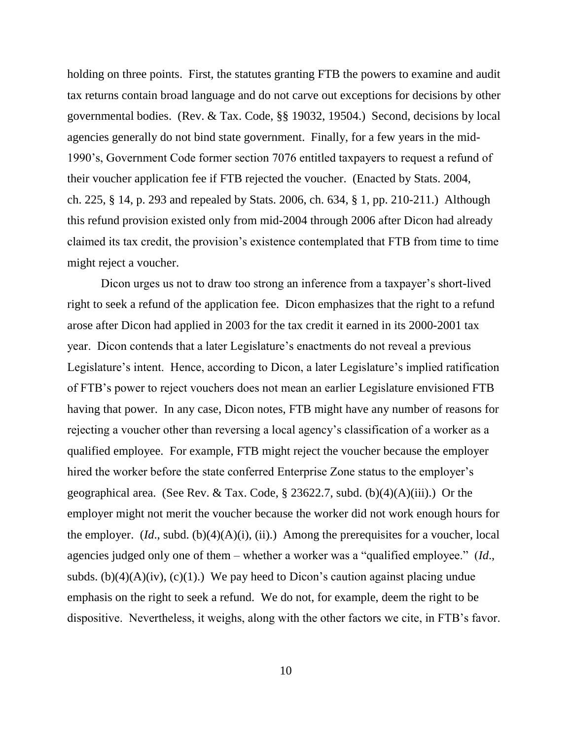holding on three points. First, the statutes granting FTB the powers to examine and audit tax returns contain broad language and do not carve out exceptions for decisions by other governmental bodies. (Rev. & Tax. Code, §§ 19032, 19504.) Second, decisions by local agencies generally do not bind state government. Finally, for a few years in the mid-1990"s, Government Code former section 7076 entitled taxpayers to request a refund of their voucher application fee if FTB rejected the voucher. (Enacted by Stats. 2004, ch. 225, § 14, p. 293 and repealed by Stats. 2006, ch. 634, § 1, pp. 210-211.) Although this refund provision existed only from mid-2004 through 2006 after Dicon had already claimed its tax credit, the provision"s existence contemplated that FTB from time to time might reject a voucher.

Dicon urges us not to draw too strong an inference from a taxpayer's short-lived right to seek a refund of the application fee. Dicon emphasizes that the right to a refund arose after Dicon had applied in 2003 for the tax credit it earned in its 2000-2001 tax year. Dicon contends that a later Legislature"s enactments do not reveal a previous Legislature's intent. Hence, according to Dicon, a later Legislature's implied ratification of FTB"s power to reject vouchers does not mean an earlier Legislature envisioned FTB having that power. In any case, Dicon notes, FTB might have any number of reasons for rejecting a voucher other than reversing a local agency"s classification of a worker as a qualified employee. For example, FTB might reject the voucher because the employer hired the worker before the state conferred Enterprise Zone status to the employer's geographical area. (See Rev. & Tax. Code, § 23622.7, subd. (b)(4)(A)(iii).) Or the employer might not merit the voucher because the worker did not work enough hours for the employer. (*Id*., subd. (b)(4)(A)(i), (ii).) Among the prerequisites for a voucher, local agencies judged only one of them – whether a worker was a "qualified employee." (*Id*., subds. (b)(4)(A)(iv), (c)(1).) We pay heed to Dicon's caution against placing undue emphasis on the right to seek a refund. We do not, for example, deem the right to be dispositive. Nevertheless, it weighs, along with the other factors we cite, in FTB"s favor.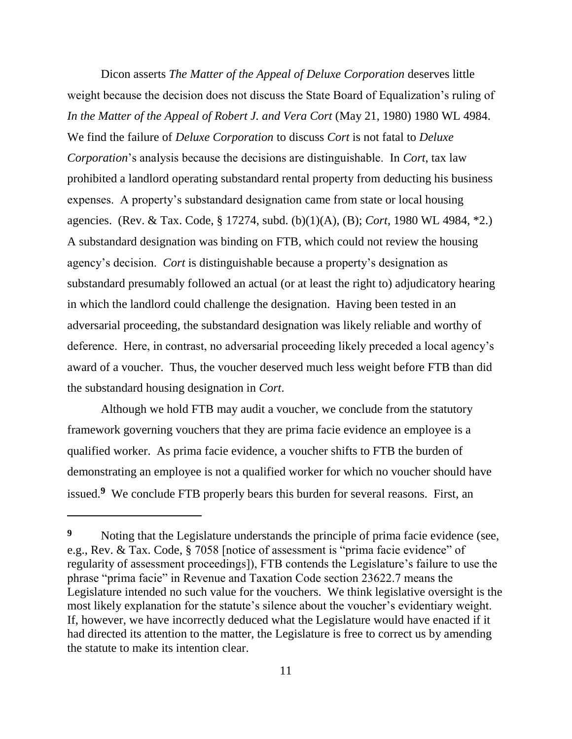Dicon asserts *The Matter of the Appeal of Deluxe Corporation* deserves little weight because the decision does not discuss the State Board of Equalization"s ruling of *In the Matter of the Appeal of Robert J. and Vera Cort* (May 21, 1980) 1980 WL 4984. We find the failure of *Deluxe Corporation* to discuss *Cort* is not fatal to *Deluxe Corporation*"s analysis because the decisions are distinguishable. In *Cort*, tax law prohibited a landlord operating substandard rental property from deducting his business expenses. A property"s substandard designation came from state or local housing agencies. (Rev. & Tax. Code, § 17274, subd. (b)(1)(A), (B); *Cort*, 1980 WL 4984, \*2.) A substandard designation was binding on FTB, which could not review the housing agency"s decision. *Cort* is distinguishable because a property"s designation as substandard presumably followed an actual (or at least the right to) adjudicatory hearing in which the landlord could challenge the designation. Having been tested in an adversarial proceeding, the substandard designation was likely reliable and worthy of deference. Here, in contrast, no adversarial proceeding likely preceded a local agency"s award of a voucher. Thus, the voucher deserved much less weight before FTB than did the substandard housing designation in *Cort*.

Although we hold FTB may audit a voucher, we conclude from the statutory framework governing vouchers that they are prima facie evidence an employee is a qualified worker. As prima facie evidence, a voucher shifts to FTB the burden of demonstrating an employee is not a qualified worker for which no voucher should have issued.**<sup>9</sup>** We conclude FTB properly bears this burden for several reasons. First, an

**<sup>9</sup>** Noting that the Legislature understands the principle of prima facie evidence (see, e.g., Rev. & Tax. Code, § 7058 [notice of assessment is "prima facie evidence" of regularity of assessment proceedings]), FTB contends the Legislature"s failure to use the phrase "prima facie" in Revenue and Taxation Code section 23622.7 means the Legislature intended no such value for the vouchers. We think legislative oversight is the most likely explanation for the statute's silence about the voucher's evidentiary weight. If, however, we have incorrectly deduced what the Legislature would have enacted if it had directed its attention to the matter, the Legislature is free to correct us by amending the statute to make its intention clear.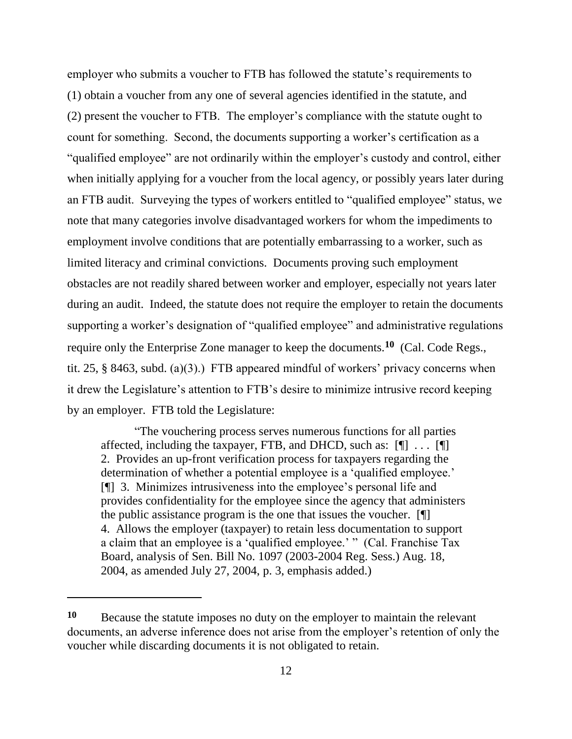employer who submits a voucher to FTB has followed the statute's requirements to (1) obtain a voucher from any one of several agencies identified in the statute, and (2) present the voucher to FTB. The employer"s compliance with the statute ought to count for something. Second, the documents supporting a worker"s certification as a "qualified employee" are not ordinarily within the employer"s custody and control, either when initially applying for a voucher from the local agency, or possibly years later during an FTB audit. Surveying the types of workers entitled to "qualified employee" status, we note that many categories involve disadvantaged workers for whom the impediments to employment involve conditions that are potentially embarrassing to a worker, such as limited literacy and criminal convictions. Documents proving such employment obstacles are not readily shared between worker and employer, especially not years later during an audit. Indeed, the statute does not require the employer to retain the documents supporting a worker's designation of "qualified employee" and administrative regulations require only the Enterprise Zone manager to keep the documents.**<sup>10</sup>** (Cal. Code Regs., tit. 25,  $\S$  8463, subd. (a)(3).) FTB appeared mindful of workers' privacy concerns when it drew the Legislature's attention to FTB's desire to minimize intrusive record keeping by an employer. FTB told the Legislature:

"The vouchering process serves numerous functions for all parties affected, including the taxpayer, FTB, and DHCD, such as:  $[\n\mathbb{T} \dots \mathbb{T}]$ 2. Provides an up-front verification process for taxpayers regarding the determination of whether a potential employee is a 'qualified employee.' [¶] 3. Minimizes intrusiveness into the employee"s personal life and provides confidentiality for the employee since the agency that administers the public assistance program is the one that issues the voucher. [¶] 4. Allows the employer (taxpayer) to retain less documentation to support a claim that an employee is a "qualified employee." " (Cal. Franchise Tax Board, analysis of Sen. Bill No. 1097 (2003-2004 Reg. Sess.) Aug. 18, 2004, as amended July 27, 2004, p. 3, emphasis added.)

**<sup>10</sup>** Because the statute imposes no duty on the employer to maintain the relevant documents, an adverse inference does not arise from the employer's retention of only the voucher while discarding documents it is not obligated to retain.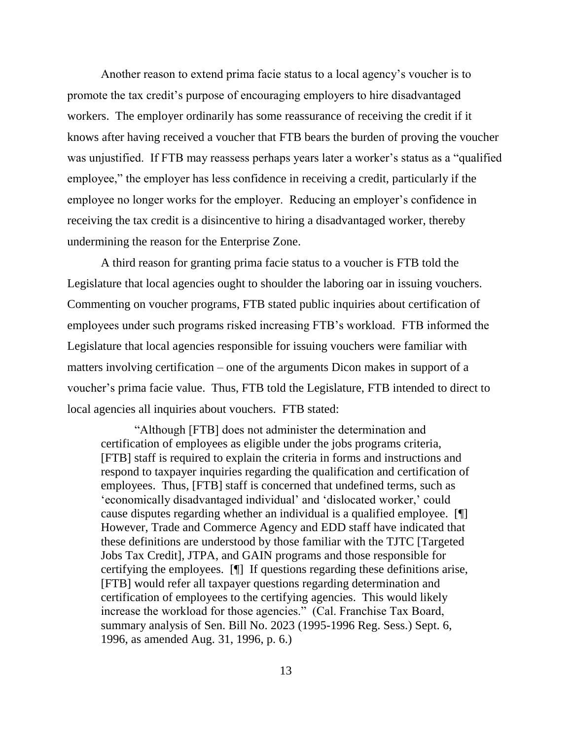Another reason to extend prima facie status to a local agency"s voucher is to promote the tax credit"s purpose of encouraging employers to hire disadvantaged workers. The employer ordinarily has some reassurance of receiving the credit if it knows after having received a voucher that FTB bears the burden of proving the voucher was unjustified. If FTB may reassess perhaps years later a worker's status as a "qualified" employee," the employer has less confidence in receiving a credit, particularly if the employee no longer works for the employer. Reducing an employer's confidence in receiving the tax credit is a disincentive to hiring a disadvantaged worker, thereby undermining the reason for the Enterprise Zone.

A third reason for granting prima facie status to a voucher is FTB told the Legislature that local agencies ought to shoulder the laboring oar in issuing vouchers. Commenting on voucher programs, FTB stated public inquiries about certification of employees under such programs risked increasing FTB"s workload. FTB informed the Legislature that local agencies responsible for issuing vouchers were familiar with matters involving certification – one of the arguments Dicon makes in support of a voucher"s prima facie value. Thus, FTB told the Legislature, FTB intended to direct to local agencies all inquiries about vouchers. FTB stated:

"Although [FTB] does not administer the determination and certification of employees as eligible under the jobs programs criteria, [FTB] staff is required to explain the criteria in forms and instructions and respond to taxpayer inquiries regarding the qualification and certification of employees. Thus, [FTB] staff is concerned that undefined terms, such as "economically disadvantaged individual" and "dislocated worker," could cause disputes regarding whether an individual is a qualified employee. [¶] However, Trade and Commerce Agency and EDD staff have indicated that these definitions are understood by those familiar with the TJTC [Targeted Jobs Tax Credit], JTPA, and GAIN programs and those responsible for certifying the employees. [¶] If questions regarding these definitions arise, [FTB] would refer all taxpayer questions regarding determination and certification of employees to the certifying agencies. This would likely increase the workload for those agencies." (Cal. Franchise Tax Board, summary analysis of Sen. Bill No. 2023 (1995-1996 Reg. Sess.) Sept. 6, 1996, as amended Aug. 31, 1996, p. 6.)